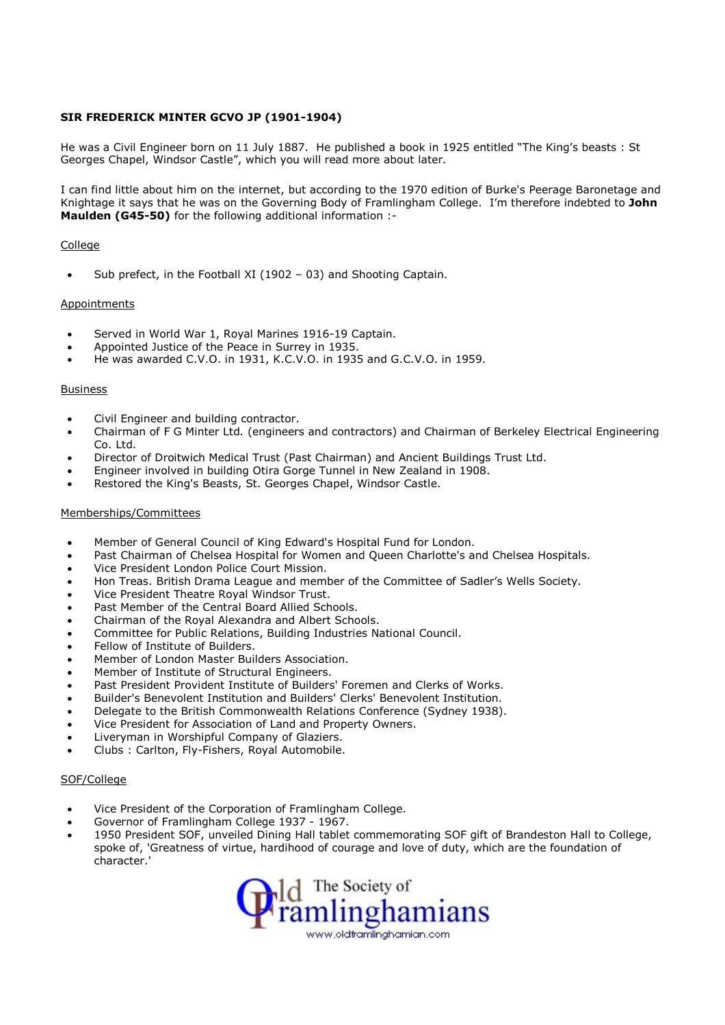# SIR FREDERICK MINTER GCVO JP (1901-1904)

He was a Civil Engineer born on 11 July 1887. He published a book in 1925 entitled "The King's beasts : St Georges Chapel, Windsor Castle", which you will read more about later.

I can find little about him on the internet, but according to the 1970 edition of Burke's Peerage Baronetage and Knightage it says that he was on the Governing Body of Framlingham College. I'm therefore indebted to John Maulden (G45-50) for the following additional information :-

## College

• Sub prefect, in the Football XI (1902 – 03) and Shooting Captain.

#### Appointments

- Served in World War 1, Royal Marines 1916-19 Captain.
- Appointed Justice of the Peace in Surrey in 1935.
- He was awarded C.V.O. in 1931, K.C.V.O. in 1935 and G.C.V.O. in 1959.

#### Business

- Civil Engineer and building contractor.
- Chairman of F G Minter Ltd. (engineers and contractors) and Chairman of Berkeley Electrical Engineering Co. Ltd.
- Director of Droitwich Medical Trust (Past Chairman) and Ancient Buildings Trust Ltd.
- Engineer involved in building Otira Gorge Tunnel in New Zealand in 1908.
- Restored the King's Beasts, St. Georges Chapel, Windsor Castle.

# Memberships/Committees

- Member of General Council of King Edward's Hospital Fund for London.
- Past Chairman of Chelsea Hospital for Women and Queen Charlotte's and Chelsea Hospitals.
- Vice President London Police Court Mission.
- Hon Treas. British Drama League and member of the Committee of Sadler's Wells Society.
- Vice President Theatre Royal Windsor Trust.
- Past Member of the Central Board Allied Schools.
- Chairman of the Royal Alexandra and Albert Schools.
- Committee for Public Relations, Building Industries National Council.
- Fellow of Institute of Builders.
- Member of London Master Builders Association.
- Member of Institute of Structural Engineers.
- Past President Provident Institute of Builders' Foremen and Clerks of Works.
- Builder's Benevolent Institution and Builders' Clerks' Benevolent Institution.
- Delegate to the British Commonwealth Relations Conference (Sydney 1938).
- Vice President for Association of Land and Property Owners.
- Liveryman in Worshipful Company of Glaziers.
- Clubs : Carlton, Fly-Fishers, Royal Automobile.

## SOF/College

- Vice President of the Corporation of Framlingham College.
- Governor of Framlingham College 1937 1967.
- 1950 President SOF, unveiled Dining Hall tablet commemorating SOF gift of Brandeston Hall to College, spoke of, 'Greatness of virtue, hardihood of courage and love of duty, which are the foundation of character.'